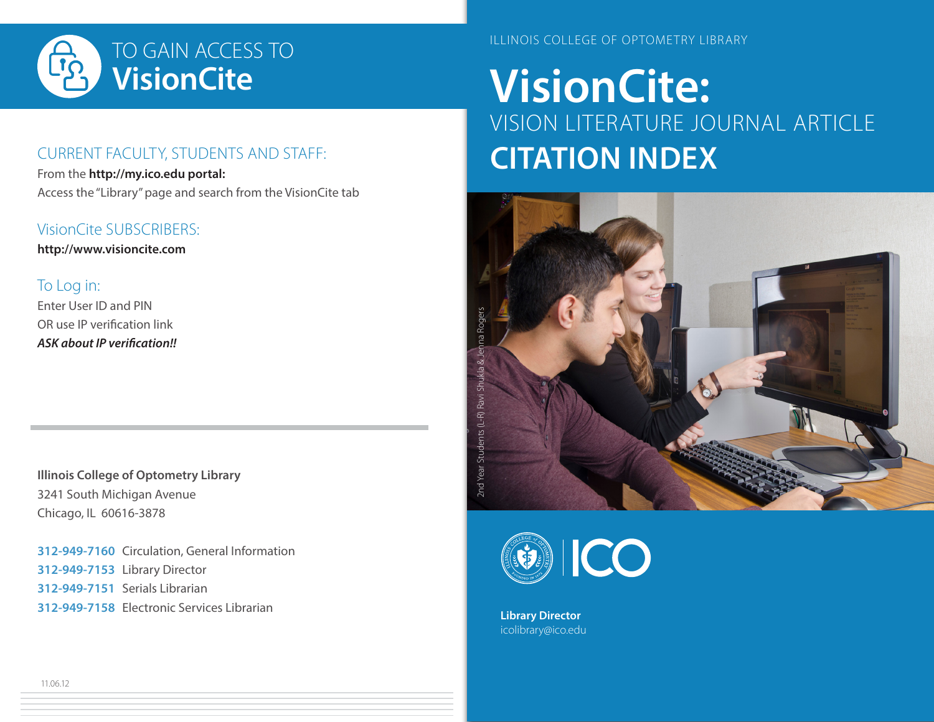

### CURRENT FACULTY, STUDENTS AND STAFF:

From the **http://my.ico.edu portal:** Access the "Library" page and search from the VisionCite tab

#### VisionCite SUBSCRIBERS:

**http://www.visioncite.com**

### To Log in:

Enter User ID and PIN OR use IP verification link *ASK about IP verification!!*

**Illinois College of Optometry Library** 3241 South Michigan Avenue Chicago, IL 60616-3878

**312-949-7160** Circulation, General Information **312-949-7153** Library Director **312-949-7151** Serials Librarian **312-949-7158** Electronic Services Librarian **Library Director Library Director** 

ILLINOIS COLLEGE OF OPTOMETRY LIBRARY

# **VisionCite:** VISION LITERATURE JOURNAL ARTICLE **CITATION INDEX**





icolibrary@ico.edu